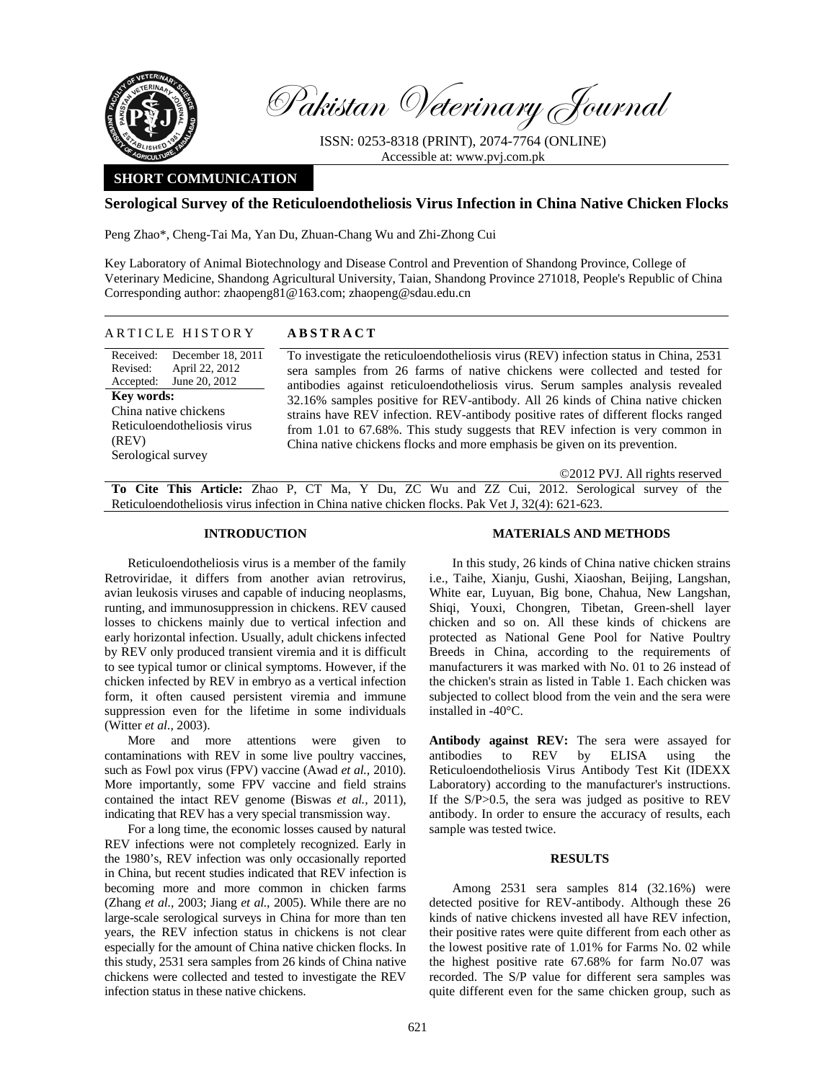

Pakistan Veterinary Journal

ISSN: 0253-8318 (PRINT), 2074-7764 (ONLINE) Accessible at: www.pvj.com.pk

# **SHORT COMMUNICATION**

## **Serological Survey of the Reticuloendotheliosis Virus Infection in China Native Chicken Flocks**

Peng Zhao\*, Cheng-Tai Ma, Yan Du, Zhuan-Chang Wu and Zhi-Zhong Cui

Key Laboratory of Animal Biotechnology and Disease Control and Prevention of Shandong Province, College of Veterinary Medicine, Shandong Agricultural University, Taian, Shandong Province 271018, People's Republic of China Corresponding author: zhaopeng81@163.com; zhaopeng@sdau.edu.cn

# ARTICLE HISTORY **ABSTRACT**

| Received:             | December 18, 2011           | To investigate the reticuloen                              |  |  |
|-----------------------|-----------------------------|------------------------------------------------------------|--|--|
|                       | Revised: April 22, 2012     | sera samples from 26 farm                                  |  |  |
|                       | Accepted: June 20, 2012     | antibodies against reticuloe                               |  |  |
| Key words:            |                             | 32.16% samples positive for<br>strains have REV infection. |  |  |
| China native chickens |                             |                                                            |  |  |
|                       | Reticuloendotheliosis virus | from $1.01$ to $67.68\%$ . This                            |  |  |
| (REV)                 |                             | China native chickens flocks                               |  |  |
| Serological survey    |                             |                                                            |  |  |
|                       |                             |                                                            |  |  |

dotheliosis virus (REV) infection status in China, 2531 ns of native chickens were collected and tested for endotheliosis virus. Serum samples analysis revealed r REV-antibody. All 26 kinds of China native chicken REV-antibody positive rates of different flocks ranged study suggests that REV infection is very common in and more emphasis be given on its prevention.

©2012 PVJ. All rights reserved

**To Cite This Article:** Zhao P, CT Ma, Y Du, ZC Wu and ZZ Cui, 2012. Serological survey of the Reticuloendotheliosis virus infection in China native chicken flocks. Pak Vet J, 32(4): 621-623.

### **INTRODUCTION**

Reticuloendotheliosis virus is a member of the family Retroviridae, it differs from another avian retrovirus, avian leukosis viruses and capable of inducing neoplasms, runting, and immunosuppression in chickens. REV caused losses to chickens mainly due to vertical infection and early horizontal infection. Usually, adult chickens infected by REV only produced transient viremia and it is difficult to see typical tumor or clinical symptoms. However, if the chicken infected by REV in embryo as a vertical infection form, it often caused persistent viremia and immune suppression even for the lifetime in some individuals (Witter *et al.,* 2003).

More and more attentions were given to contaminations with REV in some live poultry vaccines, such as Fowl pox virus (FPV) vaccine (Awad *et al.,* 2010). More importantly, some FPV vaccine and field strains contained the intact REV genome (Biswas *et al.,* 2011), indicating that REV has a very special transmission way.

For a long time, the economic losses caused by natural REV infections were not completely recognized. Early in the 1980's, REV infection was only occasionally reported in China, but recent studies indicated that REV infection is becoming more and more common in chicken farms (Zhang *et al.,* 2003; Jiang *et al.,* 2005). While there are no large-scale serological surveys in China for more than ten years, the REV infection status in chickens is not clear especially for the amount of China native chicken flocks. In this study, 2531 sera samples from 26 kinds of China native chickens were collected and tested to investigate the REV infection status in these native chickens.

#### **MATERIALS AND METHODS**

In this study, 26 kinds of China native chicken strains i.e., Taihe, Xianju, Gushi, Xiaoshan, Beijing, Langshan, White ear, Luyuan, Big bone, Chahua, New Langshan, Shiqi, Youxi, Chongren, Tibetan, Green-shell layer chicken and so on. All these kinds of chickens are protected as National Gene Pool for Native Poultry Breeds in China, according to the requirements of manufacturers it was marked with No. 01 to 26 instead of the chicken's strain as listed in Table 1. Each chicken was subjected to collect blood from the vein and the sera were installed in -40°C.

**Antibody against REV:** The sera were assayed for antibodies to REV by ELISA using the Reticuloendotheliosis Virus Antibody Test Kit (IDEXX Laboratory) according to the manufacturer's instructions. If the S/P > 0.5, the sera was judged as positive to REV antibody. In order to ensure the accuracy of results, each sample was tested twice.

#### **RESULTS**

Among 2531 sera samples 814 (32.16%) were detected positive for REV-antibody. Although these 26 kinds of native chickens invested all have REV infection, their positive rates were quite different from each other as the lowest positive rate of 1.01% for Farms No. 02 while the highest positive rate 67.68% for farm No.07 was recorded. The S/P value for different sera samples was quite different even for the same chicken group, such as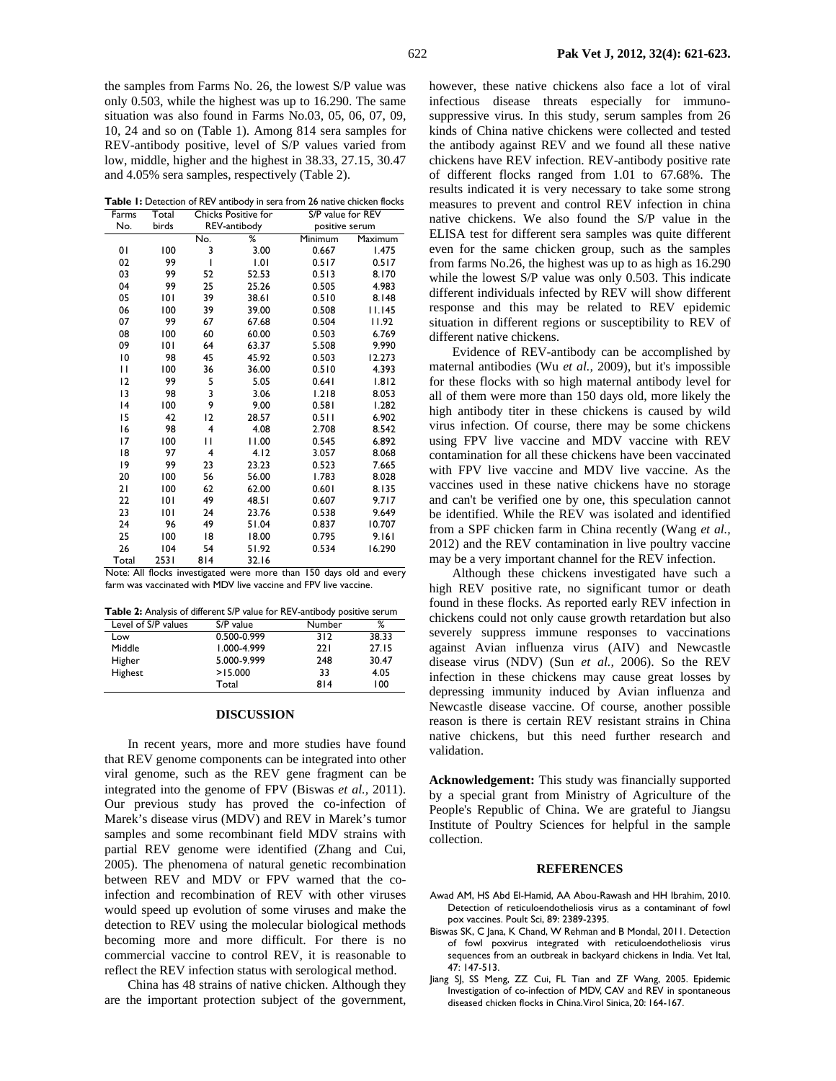the samples from Farms No. 26, the lowest S/P value was only 0.503, while the highest was up to 16.290. The same situation was also found in Farms No.03, 05, 06, 07, 09, 10, 24 and so on (Table 1). Among 814 sera samples for REV-antibody positive, level of S/P values varied from low, middle, higher and the highest in 38.33, 27.15, 30.47 and 4.05% sera samples, respectively (Table 2).

Table 1: Detection of REV antibody in sera from 26 native chicken flocks Farms Total Chicks Positive for S/P value for REV

| No.   | birds | REV-antibody |       |         | positive serum |  |
|-------|-------|--------------|-------|---------|----------------|--|
|       |       | No.          | ℅     | Minimum | Maximum        |  |
| 01    | 100   | 3            | 3.00  | 0.667   | <b>1.475</b>   |  |
| 02    | 99    | I            | 1.01  | 0.517   | 0.517          |  |
| 03    | 99    | 52           | 52.53 | 0.513   | 8.170          |  |
| 04    | 99    | 25           | 25.26 | 0.505   | 4.983          |  |
| 05    | 101   | 39           | 38.61 | 0.510   | 8.148          |  |
| 06    | 100   | 39           | 39.00 | 0.508   | 11.145         |  |
| 07    | 99    | 67           | 67.68 | 0.504   | 11.92          |  |
| 08    | 100   | 60           | 60.00 | 0.503   | 6.769          |  |
| 09    | 101   | 64           | 63.37 | 5.508   | 9.990          |  |
| 10    | 98    | 45           | 45.92 | 0.503   | 12.273         |  |
| П     | 100   | 36           | 36.00 | 0.510   | 4.393          |  |
| 12    | 99    | 5            | 5.05  | 0.641   | 1.812          |  |
| 13    | 98    | 3            | 3.06  | 1.218   | 8.053          |  |
| 14    | 100   | 9            | 9.00  | 0.581   | 1.282          |  |
| 15    | 42    | 12           | 28.57 | 0.511   | 6.902          |  |
| 16    | 98    | 4            | 4.08  | 2.708   | 8.542          |  |
| 17    | 100   | П            | 11.00 | 0.545   | 6.892          |  |
| 18    | 97    | 4            | 4.12  | 3.057   | 8.068          |  |
| 19    | 99    | 23           | 23.23 | 0.523   | 7.665          |  |
| 20    | 100   | 56           | 56.00 | 1.783   | 8.028          |  |
| 21    | 100   | 62           | 62.00 | 0.601   | 8.135          |  |
| 22    | 101   | 49           | 48.51 | 0.607   | 9.717          |  |
| 23    | 101   | 24           | 23.76 | 0.538   | 9.649          |  |
| 24    | 96    | 49           | 51.04 | 0.837   | 10.707         |  |
| 25    | 100   | 18           | 18.00 | 0.795   | 9.161          |  |
| 26    | 104   | 54           | 51.92 | 0.534   | 16.290         |  |
| Total | 2531  | 814          | 32.16 |         |                |  |

Note: All flocks investigated were more than 150 days old and every farm was vaccinated with MDV live vaccine and FPV live vaccine.

|  |  |  | <b>Table 2:</b> Analysis of different S/P value for REV-antibody positive serum |
|--|--|--|---------------------------------------------------------------------------------|
|--|--|--|---------------------------------------------------------------------------------|

| Level of S/P values | S/P value   | Number | %     |
|---------------------|-------------|--------|-------|
| Low                 | 0.500-0.999 | 312    | 38.33 |
| Middle              | 1.000-4.999 | 221    | 27.15 |
| Higher              | 5.000-9.999 | 248    | 30.47 |
| Highest             | >15.000     | 33     | 4.05  |
|                     | Total       | 814    | 100   |

## **DISCUSSION**

In recent years, more and more studies have found that REV genome components can be integrated into other viral genome, such as the REV gene fragment can be integrated into the genome of FPV (Biswas *et al.,* 2011). Our previous study has proved the co-infection of Marek's disease virus (MDV) and REV in Marek's tumor samples and some recombinant field MDV strains with partial REV genome were identified (Zhang and Cui*,* 2005). The phenomena of natural genetic recombination between REV and MDV or FPV warned that the coinfection and recombination of REV with other viruses would speed up evolution of some viruses and make the detection to REV using the molecular biological methods becoming more and more difficult. For there is no commercial vaccine to control REV, it is reasonable to reflect the REV infection status with serological method.

China has 48 strains of native chicken. Although they are the important protection subject of the government,

however, these native chickens also face a lot of viral infectious disease threats especially for immunosuppressive virus. In this study, serum samples from 26 kinds of China native chickens were collected and tested the antibody against REV and we found all these native chickens have REV infection. REV-antibody positive rate of different flocks ranged from 1.01 to 67.68%. The results indicated it is very necessary to take some strong measures to prevent and control REV infection in china native chickens. We also found the S/P value in the ELISA test for different sera samples was quite different even for the same chicken group, such as the samples from farms No.26, the highest was up to as high as 16.290 while the lowest S/P value was only 0.503. This indicate different individuals infected by REV will show different response and this may be related to REV epidemic situation in different regions or susceptibility to REV of different native chickens.

Evidence of REV-antibody can be accomplished by maternal antibodies (Wu *et al.,* 2009), but it's impossible for these flocks with so high maternal antibody level for all of them were more than 150 days old, more likely the high antibody titer in these chickens is caused by wild virus infection. Of course, there may be some chickens using FPV live vaccine and MDV vaccine with REV contamination for all these chickens have been vaccinated with FPV live vaccine and MDV live vaccine. As the vaccines used in these native chickens have no storage and can't be verified one by one, this speculation cannot be identified. While the REV was isolated and identified from a SPF chicken farm in China recently (Wang *et al.,*  2012) and the REV contamination in live poultry vaccine may be a very important channel for the REV infection.

Although these chickens investigated have such a high REV positive rate, no significant tumor or death found in these flocks. As reported early REV infection in chickens could not only cause growth retardation but also severely suppress immune responses to vaccinations against Avian influenza virus (AIV) and Newcastle disease virus (NDV) (Sun *et al.,* 2006). So the REV infection in these chickens may cause great losses by depressing immunity induced by Avian influenza and Newcastle disease vaccine. Of course, another possible reason is there is certain REV resistant strains in China native chickens, but this need further research and validation.

**Acknowledgement:** This study was financially supported by a special grant from Ministry of Agriculture of the People's Republic of China. We are grateful to Jiangsu Institute of Poultry Sciences for helpful in the sample collection.

#### **REFERENCES**

- Awad AM, HS Abd El-Hamid, AA Abou-Rawash and HH Ibrahim, 2010. Detection of reticuloendotheliosis virus as a contaminant of fowl pox vaccines. Poult Sci, 89: 2389-2395.
- Biswas SK, C Jana, K Chand, W Rehman and B Mondal, 2011. Detection of fowl poxvirus integrated with reticuloendotheliosis virus sequences from an outbreak in backyard chickens in India. Vet Ital, 47: 147-513.
- Jiang SJ, SS Meng, ZZ Cui, FL Tian and ZF Wang, 2005. Epidemic Investigation of co-infection of MDV, CAV and REV in spontaneous diseased chicken flocks in China. Virol Sinica, 20: 164-167.